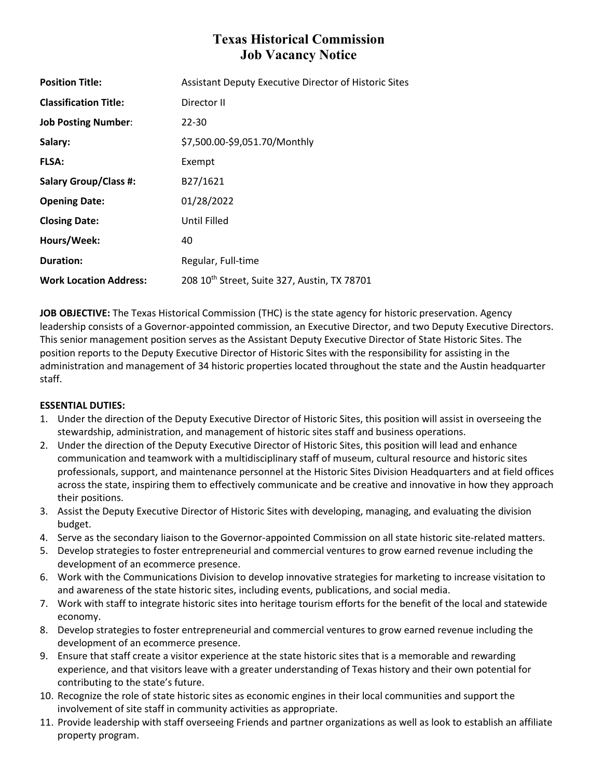# **Texas Historical Commission Job Vacancy Notice**

| <b>Position Title:</b>        | <b>Assistant Deputy Executive Director of Historic Sites</b> |
|-------------------------------|--------------------------------------------------------------|
| <b>Classification Title:</b>  | Director II                                                  |
| <b>Job Posting Number:</b>    | 22-30                                                        |
| Salary:                       | \$7,500.00-\$9,051.70/Monthly                                |
| <b>FLSA:</b>                  | Exempt                                                       |
| <b>Salary Group/Class #:</b>  | B27/1621                                                     |
| <b>Opening Date:</b>          | 01/28/2022                                                   |
| <b>Closing Date:</b>          | Until Filled                                                 |
| Hours/Week:                   | 40                                                           |
| <b>Duration:</b>              | Regular, Full-time                                           |
| <b>Work Location Address:</b> | 208 10th Street, Suite 327, Austin, TX 78701                 |

**JOB OBJECTIVE:** The Texas Historical Commission (THC) is the state agency for historic preservation. Agency leadership consists of a Governor-appointed commission, an Executive Director, and two Deputy Executive Directors. This senior management position serves as the Assistant Deputy Executive Director of State Historic Sites. The position reports to the Deputy Executive Director of Historic Sites with the responsibility for assisting in the administration and management of 34 historic properties located throughout the state and the Austin headquarter staff.

## **ESSENTIAL DUTIES:**

- 1. Under the direction of the Deputy Executive Director of Historic Sites, this position will assist in overseeing the stewardship, administration, and management of historic sites staff and business operations.
- 2. Under the direction of the Deputy Executive Director of Historic Sites, this position will lead and enhance communication and teamwork with a multidisciplinary staff of museum, cultural resource and historic sites professionals, support, and maintenance personnel at the Historic Sites Division Headquarters and at field offices across the state, inspiring them to effectively communicate and be creative and innovative in how they approach their positions.
- 3. Assist the Deputy Executive Director of Historic Sites with developing, managing, and evaluating the division budget.
- 4. Serve as the secondary liaison to the Governor-appointed Commission on all state historic site-related matters.
- 5. Develop strategies to foster entrepreneurial and commercial ventures to grow earned revenue including the development of an ecommerce presence.
- 6. Work with the Communications Division to develop innovative strategies for marketing to increase visitation to and awareness of the state historic sites, including events, publications, and social media.
- 7. Work with staff to integrate historic sites into heritage tourism efforts for the benefit of the local and statewide economy.
- 8. Develop strategies to foster entrepreneurial and commercial ventures to grow earned revenue including the development of an ecommerce presence.
- 9. Ensure that staff create a visitor experience at the state historic sites that is a memorable and rewarding experience, and that visitors leave with a greater understanding of Texas history and their own potential for contributing to the state's future.
- 10. Recognize the role of state historic sites as economic engines in their local communities and support the involvement of site staff in community activities as appropriate.
- 11. Provide leadership with staff overseeing Friends and partner organizations as well as look to establish an affiliate property program.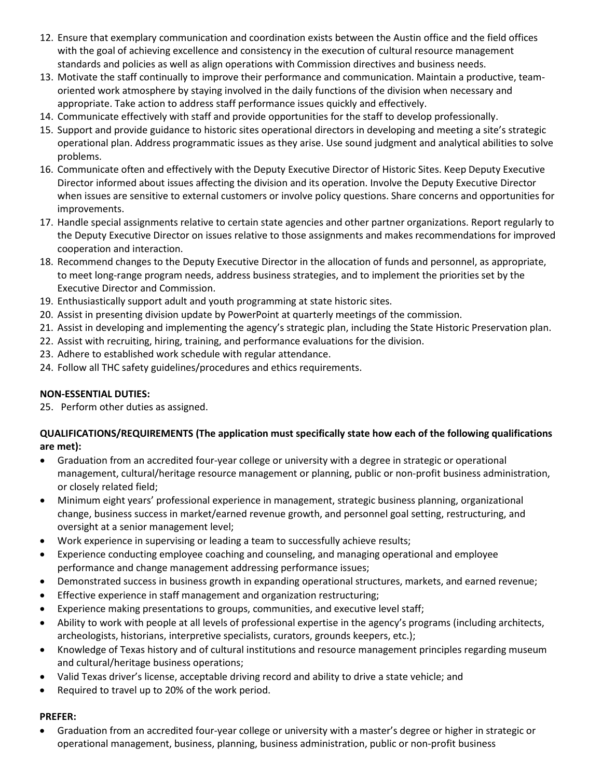- 12. Ensure that exemplary communication and coordination exists between the Austin office and the field offices with the goal of achieving excellence and consistency in the execution of cultural resource management standards and policies as well as align operations with Commission directives and business needs.
- 13. Motivate the staff continually to improve their performance and communication. Maintain a productive, teamoriented work atmosphere by staying involved in the daily functions of the division when necessary and appropriate. Take action to address staff performance issues quickly and effectively.
- 14. Communicate effectively with staff and provide opportunities for the staff to develop professionally.
- 15. Support and provide guidance to historic sites operational directors in developing and meeting a site's strategic operational plan. Address programmatic issues as they arise. Use sound judgment and analytical abilities to solve problems.
- 16. Communicate often and effectively with the Deputy Executive Director of Historic Sites. Keep Deputy Executive Director informed about issues affecting the division and its operation. Involve the Deputy Executive Director when issues are sensitive to external customers or involve policy questions. Share concerns and opportunities for improvements.
- 17. Handle special assignments relative to certain state agencies and other partner organizations. Report regularly to the Deputy Executive Director on issues relative to those assignments and makes recommendations for improved cooperation and interaction.
- 18. Recommend changes to the Deputy Executive Director in the allocation of funds and personnel, as appropriate, to meet long-range program needs, address business strategies, and to implement the priorities set by the Executive Director and Commission.
- 19. Enthusiastically support adult and youth programming at state historic sites.
- 20. Assist in presenting division update by PowerPoint at quarterly meetings of the commission.
- 21. Assist in developing and implementing the agency's strategic plan, including the State Historic Preservation plan.
- 22. Assist with recruiting, hiring, training, and performance evaluations for the division.
- 23. Adhere to established work schedule with regular attendance.
- 24. Follow all THC safety guidelines/procedures and ethics requirements.

# **NON-ESSENTIAL DUTIES:**

25. Perform other duties as assigned.

## **QUALIFICATIONS/REQUIREMENTS (The application must specifically state how each of the following qualifications are met):**

- Graduation from an accredited four-year college or university with a degree in strategic or operational management, cultural/heritage resource management or planning, public or non-profit business administration, or closely related field;
- Minimum eight years' professional experience in management, strategic business planning, organizational change, business success in market/earned revenue growth, and personnel goal setting, restructuring, and oversight at a senior management level;
- Work experience in supervising or leading a team to successfully achieve results;
- Experience conducting employee coaching and counseling, and managing operational and employee performance and change management addressing performance issues;
- Demonstrated success in business growth in expanding operational structures, markets, and earned revenue;
- Effective experience in staff management and organization restructuring;
- Experience making presentations to groups, communities, and executive level staff;
- Ability to work with people at all levels of professional expertise in the agency's programs (including architects, archeologists, historians, interpretive specialists, curators, grounds keepers, etc.);
- Knowledge of Texas history and of cultural institutions and resource management principles regarding museum and cultural/heritage business operations;
- Valid Texas driver's license, acceptable driving record and ability to drive a state vehicle; and
- Required to travel up to 20% of the work period.

## **PREFER:**

• Graduation from an accredited four-year college or university with a master's degree or higher in strategic or operational management, business, planning, business administration, public or non-profit business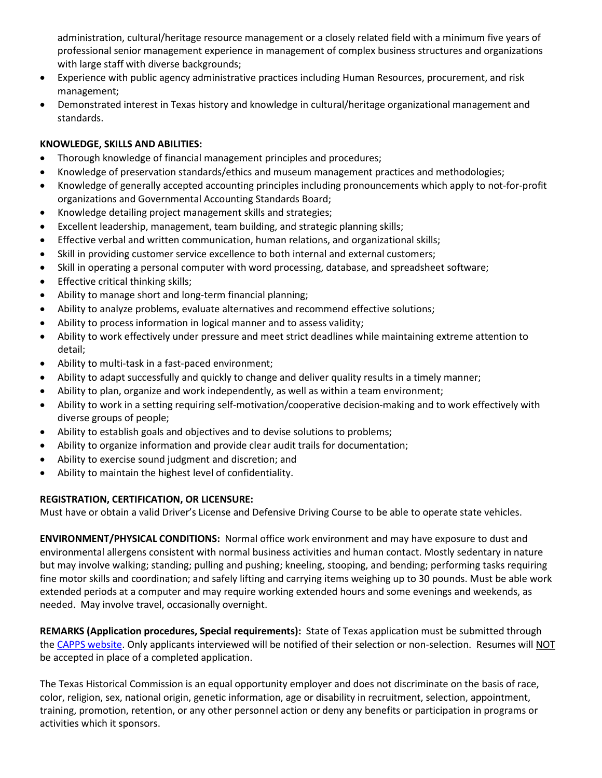administration, cultural/heritage resource management or a closely related field with a minimum five years of professional senior management experience in management of complex business structures and organizations with large staff with diverse backgrounds;

- Experience with public agency administrative practices including Human Resources, procurement, and risk management;
- Demonstrated interest in Texas history and knowledge in cultural/heritage organizational management and standards.

# **KNOWLEDGE, SKILLS AND ABILITIES:**

- Thorough knowledge of financial management principles and procedures;
- Knowledge of preservation standards/ethics and museum management practices and methodologies;
- Knowledge of generally accepted accounting principles including pronouncements which apply to not-for-profit organizations and Governmental Accounting Standards Board;
- Knowledge detailing project management skills and strategies;
- Excellent leadership, management, team building, and strategic planning skills;
- Effective verbal and written communication, human relations, and organizational skills;
- Skill in providing customer service excellence to both internal and external customers;
- Skill in operating a personal computer with word processing, database, and spreadsheet software;
- Effective critical thinking skills;
- Ability to manage short and long-term financial planning;
- Ability to analyze problems, evaluate alternatives and recommend effective solutions;
- Ability to process information in logical manner and to assess validity;
- Ability to work effectively under pressure and meet strict deadlines while maintaining extreme attention to detail;
- Ability to multi-task in a fast-paced environment;
- Ability to adapt successfully and quickly to change and deliver quality results in a timely manner;
- Ability to plan, organize and work independently, as well as within a team environment;
- Ability to work in a setting requiring self-motivation/cooperative decision-making and to work effectively with diverse groups of people;
- Ability to establish goals and objectives and to devise solutions to problems;
- Ability to organize information and provide clear audit trails for documentation;
- Ability to exercise sound judgment and discretion; and
- Ability to maintain the highest level of confidentiality.

## **REGISTRATION, CERTIFICATION, OR LICENSURE:**

Must have or obtain a valid Driver's License and Defensive Driving Course to be able to operate state vehicles.

**ENVIRONMENT/PHYSICAL CONDITIONS:** Normal office work environment and may have exposure to dust and environmental allergens consistent with normal business activities and human contact. Mostly sedentary in nature but may involve walking; standing; pulling and pushing; kneeling, stooping, and bending; performing tasks requiring fine motor skills and coordination; and safely lifting and carrying items weighing up to 30 pounds. Must be able work extended periods at a computer and may require working extended hours and some evenings and weekends, as needed. May involve travel, occasionally overnight.

**REMARKS (Application procedures, Special requirements):** State of Texas application must be submitted through the CAPPS [website.](https://capps.taleo.net/careersection/808/jobsearch.ftl?lang=en) Only applicants interviewed will be notified of their selection or non-selection. Resumes will NOT be accepted in place of a completed application.

The Texas Historical Commission is an equal opportunity employer and does not discriminate on the basis of race, color, religion, sex, national origin, genetic information, age or disability in recruitment, selection, appointment, training, promotion, retention, or any other personnel action or deny any benefits or participation in programs or activities which it sponsors.